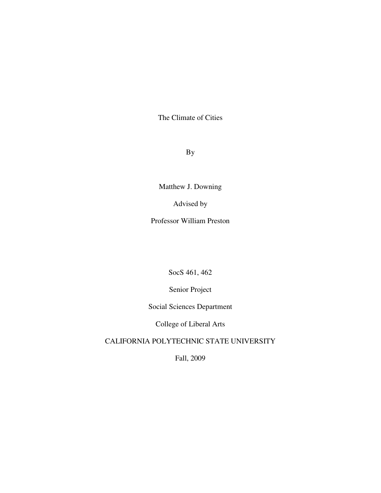The Climate of Cities

By

Matthew J. Downing

Advised by

Professor William Preston

SocS 461, 462

Senior Project

Social Sciences Department

College of Liberal Arts

CALIFORNIA POLYTECHNIC STATE UNIVERSITY

Fall, 2009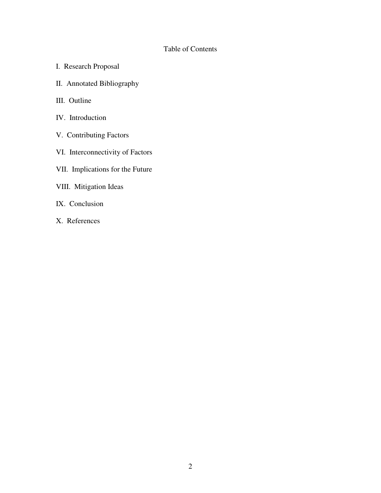# Table of Contents

- I. Research Proposal
- II. Annotated Bibliography
- III. Outline
- IV. Introduction
- V. Contributing Factors
- VI. Interconnectivity of Factors
- VII. Implications for the Future
- VIII. Mitigation Ideas
- IX. Conclusion
- X. References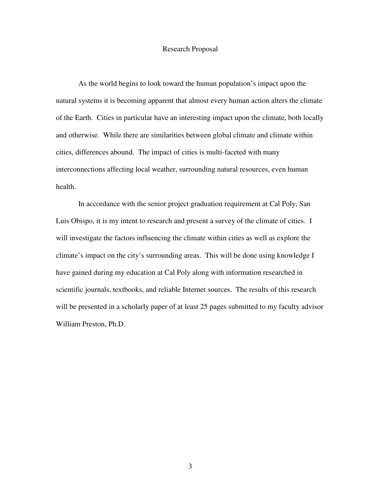### Research Proposal

 As the world begins to look toward the human population's impact upon the natural systems it is becoming apparent that almost every human action alters the climate of the Earth. Cities in particular have an interesting impact upon the climate, both locally and otherwise. While there are similarities between global climate and climate within cities, differences abound. The impact of cities is multi-faceted with many interconnections affecting local weather, surrounding natural resources, even human health.

 In accordance with the senior project graduation requirement at Cal Poly, San Luis Obispo, it is my intent to research and present a survey of the climate of cities. I will investigate the factors influencing the climate within cities as well as explore the climate's impact on the city's surrounding areas. This will be done using knowledge I have gained during my education at Cal Poly along with information researched in scientific journals, textbooks, and reliable Internet sources. The results of this research will be presented in a scholarly paper of at least 25 pages submitted to my faculty advisor William Preston, Ph.D.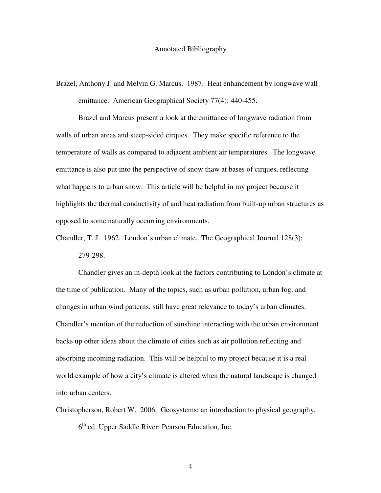Brazel, Anthony J. and Melvin G. Marcus. 1987. Heat enhancement by longwave wall emittance. American Geographical Society 77(4): 440-455.

 Brazel and Marcus present a look at the emittance of longwave radiation from walls of urban areas and steep-sided cirques. They make specific reference to the temperature of walls as compared to adjacent ambient air temperatures. The longwave emittance is also put into the perspective of snow thaw at bases of cirques, reflecting what happens to urban snow. This article will be helpful in my project because it highlights the thermal conductivity of and heat radiation from built-up urban structures as opposed to some naturally occurring environments.

Chandler, T. J. 1962. London's urban climate. The Geographical Journal 128(3):

279-298.

 Chandler gives an in-depth look at the factors contributing to London's climate at the time of publication. Many of the topics, such as urban pollution, urban fog, and changes in urban wind patterns, still have great relevance to today's urban climates. Chandler's mention of the reduction of sunshine interacting with the urban environment backs up other ideas about the climate of cities such as air pollution reflecting and absorbing incoming radiation. This will be helpful to my project because it is a real world example of how a city's climate is altered when the natural landscape is changed into urban centers.

Christopherson, Robert W. 2006. Geosystems: an introduction to physical geography. 6<sup>th</sup> ed. Upper Saddle River: Pearson Education, Inc.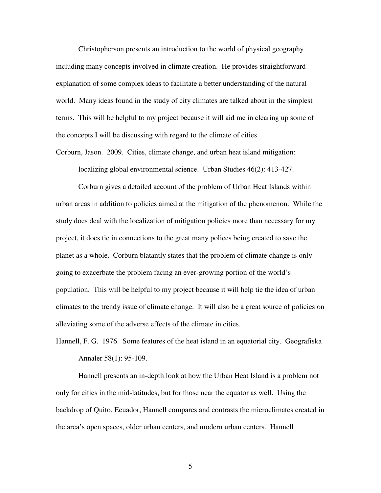Christopherson presents an introduction to the world of physical geography including many concepts involved in climate creation. He provides straightforward explanation of some complex ideas to facilitate a better understanding of the natural world. Many ideas found in the study of city climates are talked about in the simplest terms. This will be helpful to my project because it will aid me in clearing up some of the concepts I will be discussing with regard to the climate of cities.

Corburn, Jason. 2009. Cities, climate change, and urban heat island mitigation:

localizing global environmental science. Urban Studies 46(2): 413-427.

 Corburn gives a detailed account of the problem of Urban Heat Islands within urban areas in addition to policies aimed at the mitigation of the phenomenon. While the study does deal with the localization of mitigation policies more than necessary for my project, it does tie in connections to the great many polices being created to save the planet as a whole. Corburn blatantly states that the problem of climate change is only going to exacerbate the problem facing an ever-growing portion of the world's population. This will be helpful to my project because it will help tie the idea of urban climates to the trendy issue of climate change. It will also be a great source of policies on alleviating some of the adverse effects of the climate in cities.

Hannell, F. G. 1976. Some features of the heat island in an equatorial city. Geografiska Annaler 58(1): 95-109.

 Hannell presents an in-depth look at how the Urban Heat Island is a problem not only for cities in the mid-latitudes, but for those near the equator as well. Using the backdrop of Quito, Ecuador, Hannell compares and contrasts the microclimates created in the area's open spaces, older urban centers, and modern urban centers. Hannell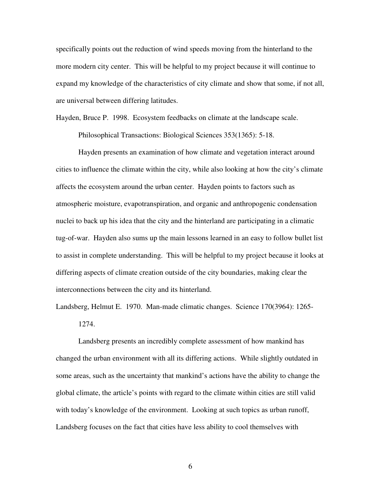specifically points out the reduction of wind speeds moving from the hinterland to the more modern city center. This will be helpful to my project because it will continue to expand my knowledge of the characteristics of city climate and show that some, if not all, are universal between differing latitudes.

Hayden, Bruce P. 1998. Ecosystem feedbacks on climate at the landscape scale.

Philosophical Transactions: Biological Sciences 353(1365): 5-18.

 Hayden presents an examination of how climate and vegetation interact around cities to influence the climate within the city, while also looking at how the city's climate affects the ecosystem around the urban center. Hayden points to factors such as atmospheric moisture, evapotranspiration, and organic and anthropogenic condensation nuclei to back up his idea that the city and the hinterland are participating in a climatic tug-of-war. Hayden also sums up the main lessons learned in an easy to follow bullet list to assist in complete understanding. This will be helpful to my project because it looks at differing aspects of climate creation outside of the city boundaries, making clear the interconnections between the city and its hinterland.

Landsberg, Helmut E. 1970. Man-made climatic changes. Science 170(3964): 1265- 1274.

 Landsberg presents an incredibly complete assessment of how mankind has changed the urban environment with all its differing actions. While slightly outdated in some areas, such as the uncertainty that mankind's actions have the ability to change the global climate, the article's points with regard to the climate within cities are still valid with today's knowledge of the environment. Looking at such topics as urban runoff, Landsberg focuses on the fact that cities have less ability to cool themselves with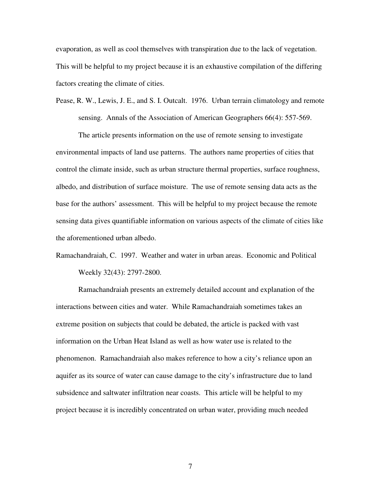evaporation, as well as cool themselves with transpiration due to the lack of vegetation. This will be helpful to my project because it is an exhaustive compilation of the differing factors creating the climate of cities.

Pease, R. W., Lewis, J. E., and S. I. Outcalt. 1976. Urban terrain climatology and remote sensing. Annals of the Association of American Geographers 66(4): 557-569.

 The article presents information on the use of remote sensing to investigate environmental impacts of land use patterns. The authors name properties of cities that control the climate inside, such as urban structure thermal properties, surface roughness, albedo, and distribution of surface moisture. The use of remote sensing data acts as the base for the authors' assessment. This will be helpful to my project because the remote sensing data gives quantifiable information on various aspects of the climate of cities like the aforementioned urban albedo.

Ramachandraiah, C. 1997. Weather and water in urban areas. Economic and Political Weekly 32(43): 2797-2800.

 Ramachandraiah presents an extremely detailed account and explanation of the interactions between cities and water. While Ramachandraiah sometimes takes an extreme position on subjects that could be debated, the article is packed with vast information on the Urban Heat Island as well as how water use is related to the phenomenon. Ramachandraiah also makes reference to how a city's reliance upon an aquifer as its source of water can cause damage to the city's infrastructure due to land subsidence and saltwater infiltration near coasts. This article will be helpful to my project because it is incredibly concentrated on urban water, providing much needed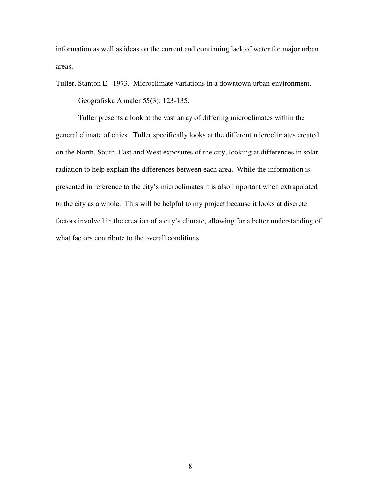information as well as ideas on the current and continuing lack of water for major urban areas.

Tuller, Stanton E. 1973. Microclimate variations in a downtown urban environment.

Geografiska Annaler 55(3): 123-135.

 Tuller presents a look at the vast array of differing microclimates within the general climate of cities. Tuller specifically looks at the different microclimates created on the North, South, East and West exposures of the city, looking at differences in solar radiation to help explain the differences between each area. While the information is presented in reference to the city's microclimates it is also important when extrapolated to the city as a whole. This will be helpful to my project because it looks at discrete factors involved in the creation of a city's climate, allowing for a better understanding of what factors contribute to the overall conditions.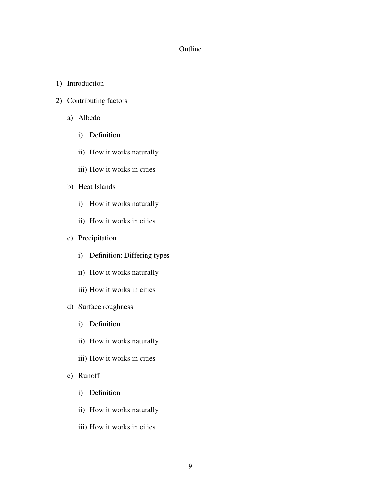# Outline

- 1) Introduction
- 2) Contributing factors
	- a) Albedo
		- i) Definition
		- ii) How it works naturally
		- iii) How it works in cities
	- b) Heat Islands
		- i) How it works naturally
		- ii) How it works in cities
	- c) Precipitation
		- i) Definition: Differing types
		- ii) How it works naturally
		- iii) How it works in cities
	- d) Surface roughness
		- i) Definition
		- ii) How it works naturally
		- iii) How it works in cities
	- e) Runoff
		- i) Definition
		- ii) How it works naturally
		- iii) How it works in cities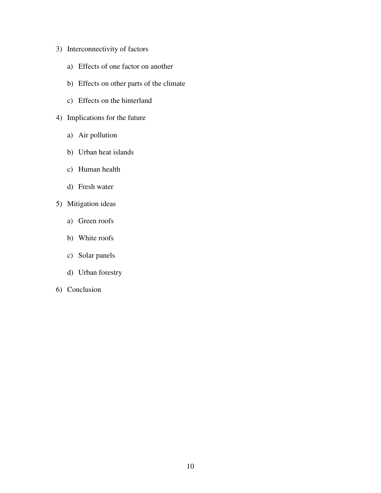- 3) Interconnectivity of factors
	- a) Effects of one factor on another
	- b) Effects on other parts of the climate
	- c) Effects on the hinterland
- 4) Implications for the future
	- a) Air pollution
	- b) Urban heat islands
	- c) Human health
	- d) Fresh water
- 5) Mitigation ideas
	- a) Green roofs
	- b) White roofs
	- c) Solar panels
	- d) Urban forestry
- 6) Conclusion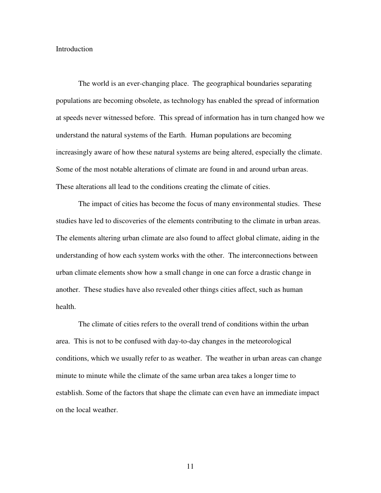### Introduction

The world is an ever-changing place. The geographical boundaries separating populations are becoming obsolete, as technology has enabled the spread of information at speeds never witnessed before. This spread of information has in turn changed how we understand the natural systems of the Earth. Human populations are becoming increasingly aware of how these natural systems are being altered, especially the climate. Some of the most notable alterations of climate are found in and around urban areas. These alterations all lead to the conditions creating the climate of cities.

The impact of cities has become the focus of many environmental studies. These studies have led to discoveries of the elements contributing to the climate in urban areas. The elements altering urban climate are also found to affect global climate, aiding in the understanding of how each system works with the other. The interconnections between urban climate elements show how a small change in one can force a drastic change in another. These studies have also revealed other things cities affect, such as human health.

The climate of cities refers to the overall trend of conditions within the urban area. This is not to be confused with day-to-day changes in the meteorological conditions, which we usually refer to as weather. The weather in urban areas can change minute to minute while the climate of the same urban area takes a longer time to establish. Some of the factors that shape the climate can even have an immediate impact on the local weather.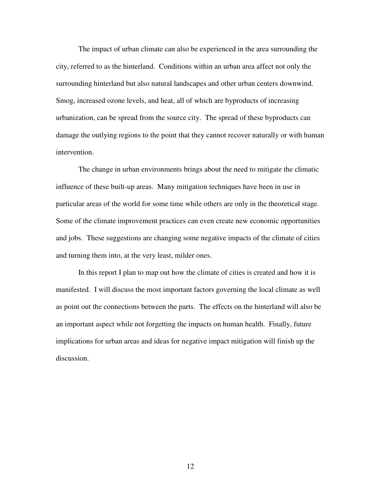The impact of urban climate can also be experienced in the area surrounding the city, referred to as the hinterland. Conditions within an urban area affect not only the surrounding hinterland but also natural landscapes and other urban centers downwind. Smog, increased ozone levels, and heat, all of which are byproducts of increasing urbanization, can be spread from the source city. The spread of these byproducts can damage the outlying regions to the point that they cannot recover naturally or with human intervention.

The change in urban environments brings about the need to mitigate the climatic influence of these built-up areas. Many mitigation techniques have been in use in particular areas of the world for some time while others are only in the theoretical stage. Some of the climate improvement practices can even create new economic opportunities and jobs. These suggestions are changing some negative impacts of the climate of cities and turning them into, at the very least, milder ones.

In this report I plan to map out how the climate of cities is created and how it is manifested. I will discuss the most important factors governing the local climate as well as point out the connections between the parts. The effects on the hinterland will also be an important aspect while not forgetting the impacts on human health. Finally, future implications for urban areas and ideas for negative impact mitigation will finish up the discussion.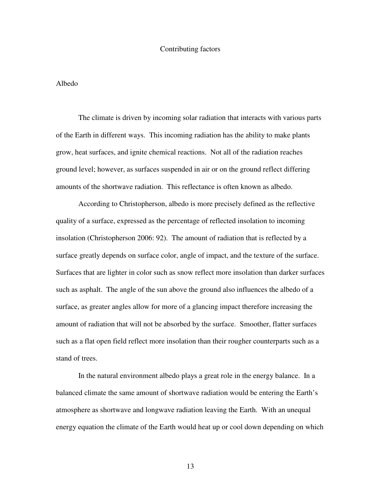#### Contributing factors

### Albedo

The climate is driven by incoming solar radiation that interacts with various parts of the Earth in different ways. This incoming radiation has the ability to make plants grow, heat surfaces, and ignite chemical reactions. Not all of the radiation reaches ground level; however, as surfaces suspended in air or on the ground reflect differing amounts of the shortwave radiation. This reflectance is often known as albedo.

According to Christopherson, albedo is more precisely defined as the reflective quality of a surface, expressed as the percentage of reflected insolation to incoming insolation (Christopherson 2006: 92). The amount of radiation that is reflected by a surface greatly depends on surface color, angle of impact, and the texture of the surface. Surfaces that are lighter in color such as snow reflect more insolation than darker surfaces such as asphalt. The angle of the sun above the ground also influences the albedo of a surface, as greater angles allow for more of a glancing impact therefore increasing the amount of radiation that will not be absorbed by the surface. Smoother, flatter surfaces such as a flat open field reflect more insolation than their rougher counterparts such as a stand of trees.

In the natural environment albedo plays a great role in the energy balance. In a balanced climate the same amount of shortwave radiation would be entering the Earth's atmosphere as shortwave and longwave radiation leaving the Earth. With an unequal energy equation the climate of the Earth would heat up or cool down depending on which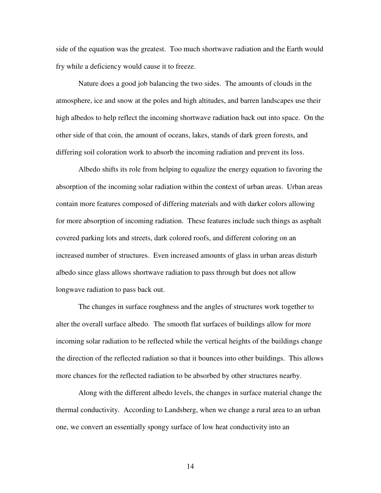side of the equation was the greatest. Too much shortwave radiation and the Earth would fry while a deficiency would cause it to freeze.

Nature does a good job balancing the two sides. The amounts of clouds in the atmosphere, ice and snow at the poles and high altitudes, and barren landscapes use their high albedos to help reflect the incoming shortwave radiation back out into space. On the other side of that coin, the amount of oceans, lakes, stands of dark green forests, and differing soil coloration work to absorb the incoming radiation and prevent its loss.

Albedo shifts its role from helping to equalize the energy equation to favoring the absorption of the incoming solar radiation within the context of urban areas. Urban areas contain more features composed of differing materials and with darker colors allowing for more absorption of incoming radiation. These features include such things as asphalt covered parking lots and streets, dark colored roofs, and different coloring on an increased number of structures. Even increased amounts of glass in urban areas disturb albedo since glass allows shortwave radiation to pass through but does not allow longwave radiation to pass back out.

The changes in surface roughness and the angles of structures work together to alter the overall surface albedo. The smooth flat surfaces of buildings allow for more incoming solar radiation to be reflected while the vertical heights of the buildings change the direction of the reflected radiation so that it bounces into other buildings. This allows more chances for the reflected radiation to be absorbed by other structures nearby.

Along with the different albedo levels, the changes in surface material change the thermal conductivity. According to Landsberg, when we change a rural area to an urban one, we convert an essentially spongy surface of low heat conductivity into an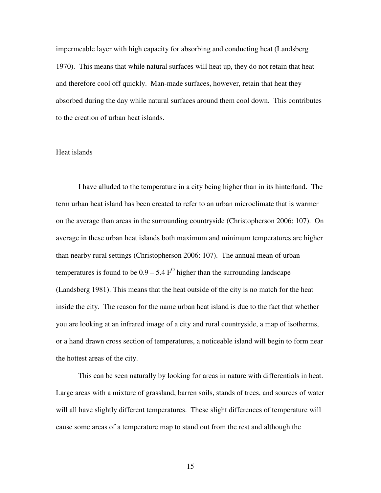impermeable layer with high capacity for absorbing and conducting heat (Landsberg 1970). This means that while natural surfaces will heat up, they do not retain that heat and therefore cool off quickly. Man-made surfaces, however, retain that heat they absorbed during the day while natural surfaces around them cool down. This contributes to the creation of urban heat islands.

# Heat islands

I have alluded to the temperature in a city being higher than in its hinterland. The term urban heat island has been created to refer to an urban microclimate that is warmer on the average than areas in the surrounding countryside (Christopherson 2006: 107). On average in these urban heat islands both maximum and minimum temperatures are higher than nearby rural settings (Christopherson 2006: 107). The annual mean of urban temperatures is found to be  $0.9 - 5.4 \text{ F}^{\text{O}}$  higher than the surrounding landscape (Landsberg 1981). This means that the heat outside of the city is no match for the heat inside the city. The reason for the name urban heat island is due to the fact that whether you are looking at an infrared image of a city and rural countryside, a map of isotherms, or a hand drawn cross section of temperatures, a noticeable island will begin to form near the hottest areas of the city.

 This can be seen naturally by looking for areas in nature with differentials in heat. Large areas with a mixture of grassland, barren soils, stands of trees, and sources of water will all have slightly different temperatures. These slight differences of temperature will cause some areas of a temperature map to stand out from the rest and although the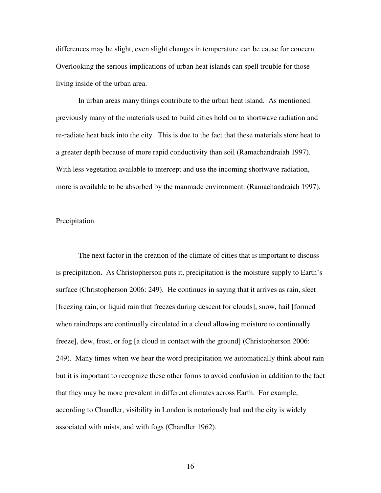differences may be slight, even slight changes in temperature can be cause for concern. Overlooking the serious implications of urban heat islands can spell trouble for those living inside of the urban area.

 In urban areas many things contribute to the urban heat island. As mentioned previously many of the materials used to build cities hold on to shortwave radiation and re-radiate heat back into the city. This is due to the fact that these materials store heat to a greater depth because of more rapid conductivity than soil (Ramachandraiah 1997). With less vegetation available to intercept and use the incoming shortwave radiation, more is available to be absorbed by the manmade environment. (Ramachandraiah 1997).

### Precipitation

The next factor in the creation of the climate of cities that is important to discuss is precipitation. As Christopherson puts it, precipitation is the moisture supply to Earth's surface (Christopherson 2006: 249). He continues in saying that it arrives as rain, sleet [freezing rain, or liquid rain that freezes during descent for clouds], snow, hail [formed when raindrops are continually circulated in a cloud allowing moisture to continually freeze], dew, frost, or fog [a cloud in contact with the ground] (Christopherson 2006: 249). Many times when we hear the word precipitation we automatically think about rain but it is important to recognize these other forms to avoid confusion in addition to the fact that they may be more prevalent in different climates across Earth. For example, according to Chandler, visibility in London is notoriously bad and the city is widely associated with mists, and with fogs (Chandler 1962).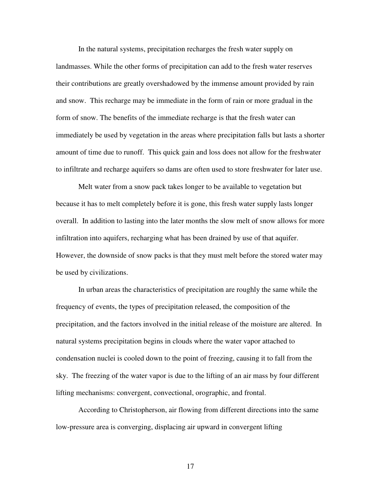In the natural systems, precipitation recharges the fresh water supply on landmasses. While the other forms of precipitation can add to the fresh water reserves their contributions are greatly overshadowed by the immense amount provided by rain and snow. This recharge may be immediate in the form of rain or more gradual in the form of snow. The benefits of the immediate recharge is that the fresh water can immediately be used by vegetation in the areas where precipitation falls but lasts a shorter amount of time due to runoff. This quick gain and loss does not allow for the freshwater to infiltrate and recharge aquifers so dams are often used to store freshwater for later use.

Melt water from a snow pack takes longer to be available to vegetation but because it has to melt completely before it is gone, this fresh water supply lasts longer overall. In addition to lasting into the later months the slow melt of snow allows for more infiltration into aquifers, recharging what has been drained by use of that aquifer. However, the downside of snow packs is that they must melt before the stored water may be used by civilizations.

In urban areas the characteristics of precipitation are roughly the same while the frequency of events, the types of precipitation released, the composition of the precipitation, and the factors involved in the initial release of the moisture are altered. In natural systems precipitation begins in clouds where the water vapor attached to condensation nuclei is cooled down to the point of freezing, causing it to fall from the sky. The freezing of the water vapor is due to the lifting of an air mass by four different lifting mechanisms: convergent, convectional, orographic, and frontal.

According to Christopherson, air flowing from different directions into the same low-pressure area is converging, displacing air upward in convergent lifting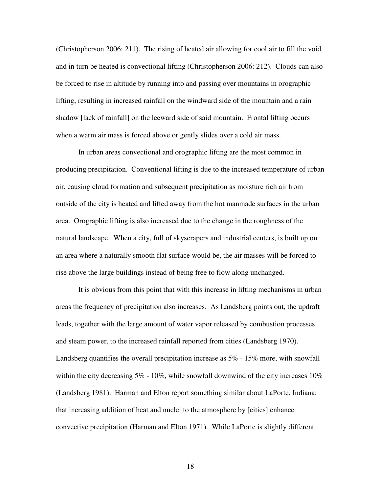(Christopherson 2006: 211). The rising of heated air allowing for cool air to fill the void and in turn be heated is convectional lifting (Christopherson 2006: 212). Clouds can also be forced to rise in altitude by running into and passing over mountains in orographic lifting, resulting in increased rainfall on the windward side of the mountain and a rain shadow [lack of rainfall] on the leeward side of said mountain. Frontal lifting occurs when a warm air mass is forced above or gently slides over a cold air mass.

In urban areas convectional and orographic lifting are the most common in producing precipitation. Conventional lifting is due to the increased temperature of urban air, causing cloud formation and subsequent precipitation as moisture rich air from outside of the city is heated and lifted away from the hot manmade surfaces in the urban area. Orographic lifting is also increased due to the change in the roughness of the natural landscape. When a city, full of skyscrapers and industrial centers, is built up on an area where a naturally smooth flat surface would be, the air masses will be forced to rise above the large buildings instead of being free to flow along unchanged.

It is obvious from this point that with this increase in lifting mechanisms in urban areas the frequency of precipitation also increases. As Landsberg points out, the updraft leads, together with the large amount of water vapor released by combustion processes and steam power, to the increased rainfall reported from cities (Landsberg 1970). Landsberg quantifies the overall precipitation increase as 5% - 15% more, with snowfall within the city decreasing  $5\%$  -  $10\%$ , while snowfall downwind of the city increases  $10\%$ (Landsberg 1981). Harman and Elton report something similar about LaPorte, Indiana; that increasing addition of heat and nuclei to the atmosphere by [cities] enhance convective precipitation (Harman and Elton 1971). While LaPorte is slightly different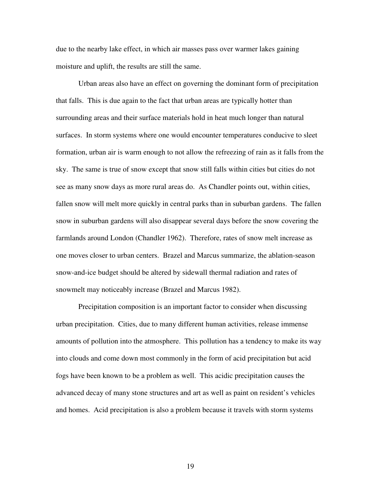due to the nearby lake effect, in which air masses pass over warmer lakes gaining moisture and uplift, the results are still the same.

Urban areas also have an effect on governing the dominant form of precipitation that falls. This is due again to the fact that urban areas are typically hotter than surrounding areas and their surface materials hold in heat much longer than natural surfaces. In storm systems where one would encounter temperatures conducive to sleet formation, urban air is warm enough to not allow the refreezing of rain as it falls from the sky. The same is true of snow except that snow still falls within cities but cities do not see as many snow days as more rural areas do. As Chandler points out, within cities, fallen snow will melt more quickly in central parks than in suburban gardens. The fallen snow in suburban gardens will also disappear several days before the snow covering the farmlands around London (Chandler 1962). Therefore, rates of snow melt increase as one moves closer to urban centers. Brazel and Marcus summarize, the ablation-season snow-and-ice budget should be altered by sidewall thermal radiation and rates of snowmelt may noticeably increase (Brazel and Marcus 1982).

Precipitation composition is an important factor to consider when discussing urban precipitation. Cities, due to many different human activities, release immense amounts of pollution into the atmosphere. This pollution has a tendency to make its way into clouds and come down most commonly in the form of acid precipitation but acid fogs have been known to be a problem as well. This acidic precipitation causes the advanced decay of many stone structures and art as well as paint on resident's vehicles and homes. Acid precipitation is also a problem because it travels with storm systems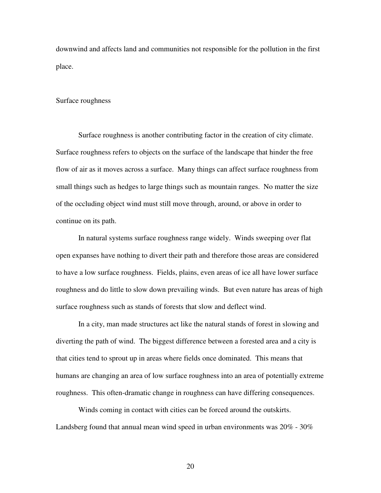downwind and affects land and communities not responsible for the pollution in the first place.

### Surface roughness

Surface roughness is another contributing factor in the creation of city climate. Surface roughness refers to objects on the surface of the landscape that hinder the free flow of air as it moves across a surface. Many things can affect surface roughness from small things such as hedges to large things such as mountain ranges. No matter the size of the occluding object wind must still move through, around, or above in order to continue on its path.

In natural systems surface roughness range widely. Winds sweeping over flat open expanses have nothing to divert their path and therefore those areas are considered to have a low surface roughness. Fields, plains, even areas of ice all have lower surface roughness and do little to slow down prevailing winds. But even nature has areas of high surface roughness such as stands of forests that slow and deflect wind.

In a city, man made structures act like the natural stands of forest in slowing and diverting the path of wind. The biggest difference between a forested area and a city is that cities tend to sprout up in areas where fields once dominated. This means that humans are changing an area of low surface roughness into an area of potentially extreme roughness. This often-dramatic change in roughness can have differing consequences.

Winds coming in contact with cities can be forced around the outskirts. Landsberg found that annual mean wind speed in urban environments was 20% - 30%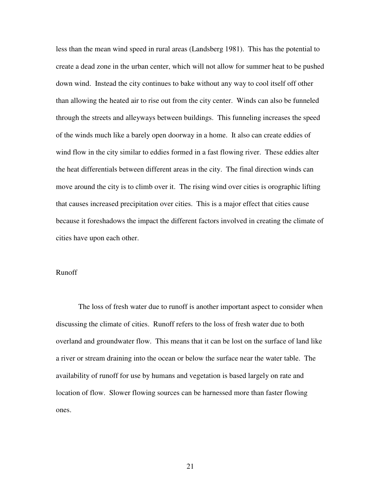less than the mean wind speed in rural areas (Landsberg 1981). This has the potential to create a dead zone in the urban center, which will not allow for summer heat to be pushed down wind. Instead the city continues to bake without any way to cool itself off other than allowing the heated air to rise out from the city center. Winds can also be funneled through the streets and alleyways between buildings. This funneling increases the speed of the winds much like a barely open doorway in a home. It also can create eddies of wind flow in the city similar to eddies formed in a fast flowing river. These eddies alter the heat differentials between different areas in the city. The final direction winds can move around the city is to climb over it. The rising wind over cities is orographic lifting that causes increased precipitation over cities. This is a major effect that cities cause because it foreshadows the impact the different factors involved in creating the climate of cities have upon each other.

# Runoff

The loss of fresh water due to runoff is another important aspect to consider when discussing the climate of cities. Runoff refers to the loss of fresh water due to both overland and groundwater flow. This means that it can be lost on the surface of land like a river or stream draining into the ocean or below the surface near the water table. The availability of runoff for use by humans and vegetation is based largely on rate and location of flow. Slower flowing sources can be harnessed more than faster flowing ones.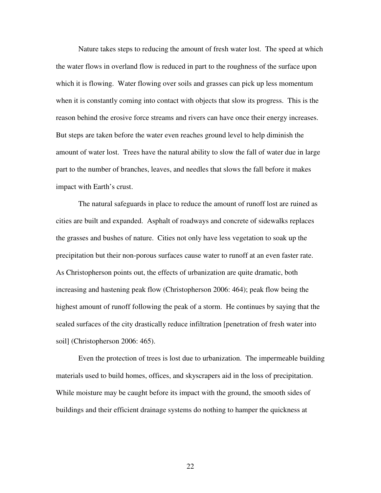Nature takes steps to reducing the amount of fresh water lost. The speed at which the water flows in overland flow is reduced in part to the roughness of the surface upon which it is flowing. Water flowing over soils and grasses can pick up less momentum when it is constantly coming into contact with objects that slow its progress. This is the reason behind the erosive force streams and rivers can have once their energy increases. But steps are taken before the water even reaches ground level to help diminish the amount of water lost. Trees have the natural ability to slow the fall of water due in large part to the number of branches, leaves, and needles that slows the fall before it makes impact with Earth's crust.

The natural safeguards in place to reduce the amount of runoff lost are ruined as cities are built and expanded. Asphalt of roadways and concrete of sidewalks replaces the grasses and bushes of nature. Cities not only have less vegetation to soak up the precipitation but their non-porous surfaces cause water to runoff at an even faster rate. As Christopherson points out, the effects of urbanization are quite dramatic, both increasing and hastening peak flow (Christopherson 2006: 464); peak flow being the highest amount of runoff following the peak of a storm. He continues by saying that the sealed surfaces of the city drastically reduce infiltration [penetration of fresh water into soil] (Christopherson 2006: 465).

Even the protection of trees is lost due to urbanization. The impermeable building materials used to build homes, offices, and skyscrapers aid in the loss of precipitation. While moisture may be caught before its impact with the ground, the smooth sides of buildings and their efficient drainage systems do nothing to hamper the quickness at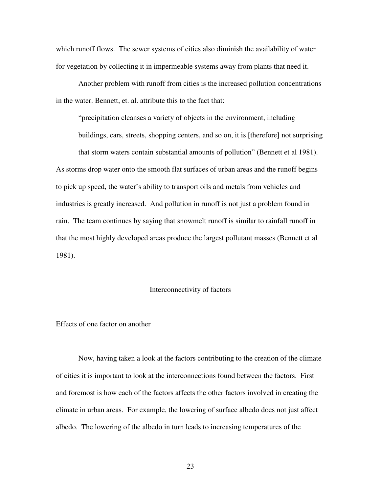which runoff flows. The sewer systems of cities also diminish the availability of water for vegetation by collecting it in impermeable systems away from plants that need it.

Another problem with runoff from cities is the increased pollution concentrations in the water. Bennett, et. al. attribute this to the fact that:

"precipitation cleanses a variety of objects in the environment, including

buildings, cars, streets, shopping centers, and so on, it is [therefore] not surprising that storm waters contain substantial amounts of pollution" (Bennett et al 1981). As storms drop water onto the smooth flat surfaces of urban areas and the runoff begins to pick up speed, the water's ability to transport oils and metals from vehicles and industries is greatly increased. And pollution in runoff is not just a problem found in rain. The team continues by saying that snowmelt runoff is similar to rainfall runoff in that the most highly developed areas produce the largest pollutant masses (Bennett et al 1981).

### Interconnectivity of factors

Effects of one factor on another

 Now, having taken a look at the factors contributing to the creation of the climate of cities it is important to look at the interconnections found between the factors. First and foremost is how each of the factors affects the other factors involved in creating the climate in urban areas. For example, the lowering of surface albedo does not just affect albedo. The lowering of the albedo in turn leads to increasing temperatures of the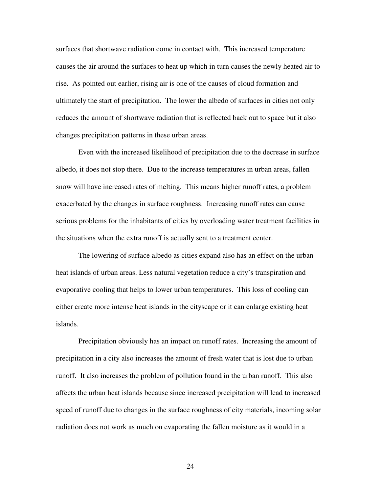surfaces that shortwave radiation come in contact with. This increased temperature causes the air around the surfaces to heat up which in turn causes the newly heated air to rise. As pointed out earlier, rising air is one of the causes of cloud formation and ultimately the start of precipitation. The lower the albedo of surfaces in cities not only reduces the amount of shortwave radiation that is reflected back out to space but it also changes precipitation patterns in these urban areas.

 Even with the increased likelihood of precipitation due to the decrease in surface albedo, it does not stop there. Due to the increase temperatures in urban areas, fallen snow will have increased rates of melting. This means higher runoff rates, a problem exacerbated by the changes in surface roughness. Increasing runoff rates can cause serious problems for the inhabitants of cities by overloading water treatment facilities in the situations when the extra runoff is actually sent to a treatment center.

 The lowering of surface albedo as cities expand also has an effect on the urban heat islands of urban areas. Less natural vegetation reduce a city's transpiration and evaporative cooling that helps to lower urban temperatures. This loss of cooling can either create more intense heat islands in the cityscape or it can enlarge existing heat islands.

 Precipitation obviously has an impact on runoff rates. Increasing the amount of precipitation in a city also increases the amount of fresh water that is lost due to urban runoff. It also increases the problem of pollution found in the urban runoff. This also affects the urban heat islands because since increased precipitation will lead to increased speed of runoff due to changes in the surface roughness of city materials, incoming solar radiation does not work as much on evaporating the fallen moisture as it would in a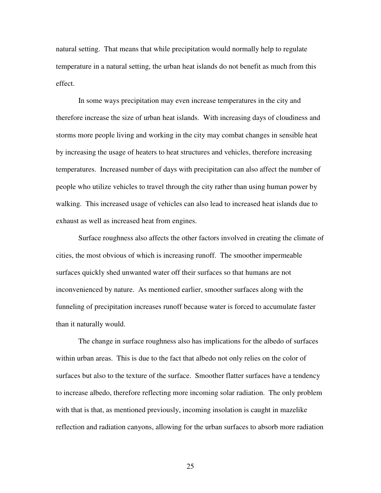natural setting. That means that while precipitation would normally help to regulate temperature in a natural setting, the urban heat islands do not benefit as much from this effect.

 In some ways precipitation may even increase temperatures in the city and therefore increase the size of urban heat islands. With increasing days of cloudiness and storms more people living and working in the city may combat changes in sensible heat by increasing the usage of heaters to heat structures and vehicles, therefore increasing temperatures. Increased number of days with precipitation can also affect the number of people who utilize vehicles to travel through the city rather than using human power by walking. This increased usage of vehicles can also lead to increased heat islands due to exhaust as well as increased heat from engines.

 Surface roughness also affects the other factors involved in creating the climate of cities, the most obvious of which is increasing runoff. The smoother impermeable surfaces quickly shed unwanted water off their surfaces so that humans are not inconvenienced by nature. As mentioned earlier, smoother surfaces along with the funneling of precipitation increases runoff because water is forced to accumulate faster than it naturally would.

 The change in surface roughness also has implications for the albedo of surfaces within urban areas. This is due to the fact that albedo not only relies on the color of surfaces but also to the texture of the surface. Smoother flatter surfaces have a tendency to increase albedo, therefore reflecting more incoming solar radiation. The only problem with that is that, as mentioned previously, incoming insolation is caught in mazelike reflection and radiation canyons, allowing for the urban surfaces to absorb more radiation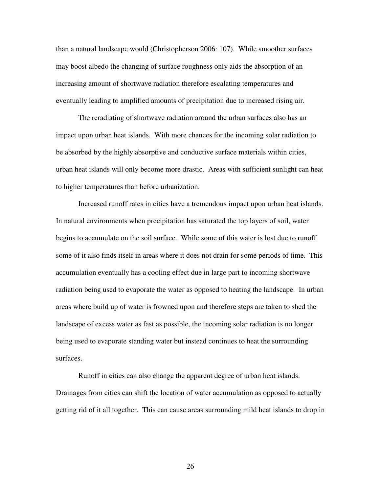than a natural landscape would (Christopherson 2006: 107). While smoother surfaces may boost albedo the changing of surface roughness only aids the absorption of an increasing amount of shortwave radiation therefore escalating temperatures and eventually leading to amplified amounts of precipitation due to increased rising air.

 The reradiating of shortwave radiation around the urban surfaces also has an impact upon urban heat islands. With more chances for the incoming solar radiation to be absorbed by the highly absorptive and conductive surface materials within cities, urban heat islands will only become more drastic. Areas with sufficient sunlight can heat to higher temperatures than before urbanization.

 Increased runoff rates in cities have a tremendous impact upon urban heat islands. In natural environments when precipitation has saturated the top layers of soil, water begins to accumulate on the soil surface. While some of this water is lost due to runoff some of it also finds itself in areas where it does not drain for some periods of time. This accumulation eventually has a cooling effect due in large part to incoming shortwave radiation being used to evaporate the water as opposed to heating the landscape. In urban areas where build up of water is frowned upon and therefore steps are taken to shed the landscape of excess water as fast as possible, the incoming solar radiation is no longer being used to evaporate standing water but instead continues to heat the surrounding surfaces.

 Runoff in cities can also change the apparent degree of urban heat islands. Drainages from cities can shift the location of water accumulation as opposed to actually getting rid of it all together. This can cause areas surrounding mild heat islands to drop in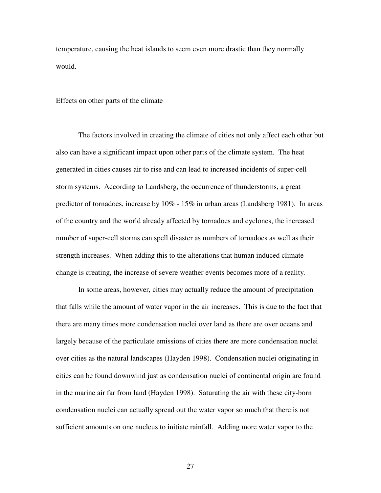temperature, causing the heat islands to seem even more drastic than they normally would.

### Effects on other parts of the climate

 The factors involved in creating the climate of cities not only affect each other but also can have a significant impact upon other parts of the climate system. The heat generated in cities causes air to rise and can lead to increased incidents of super-cell storm systems. According to Landsberg, the occurrence of thunderstorms, a great predictor of tornadoes, increase by 10% - 15% in urban areas (Landsberg 1981). In areas of the country and the world already affected by tornadoes and cyclones, the increased number of super-cell storms can spell disaster as numbers of tornadoes as well as their strength increases. When adding this to the alterations that human induced climate change is creating, the increase of severe weather events becomes more of a reality.

 In some areas, however, cities may actually reduce the amount of precipitation that falls while the amount of water vapor in the air increases. This is due to the fact that there are many times more condensation nuclei over land as there are over oceans and largely because of the particulate emissions of cities there are more condensation nuclei over cities as the natural landscapes (Hayden 1998). Condensation nuclei originating in cities can be found downwind just as condensation nuclei of continental origin are found in the marine air far from land (Hayden 1998). Saturating the air with these city-born condensation nuclei can actually spread out the water vapor so much that there is not sufficient amounts on one nucleus to initiate rainfall. Adding more water vapor to the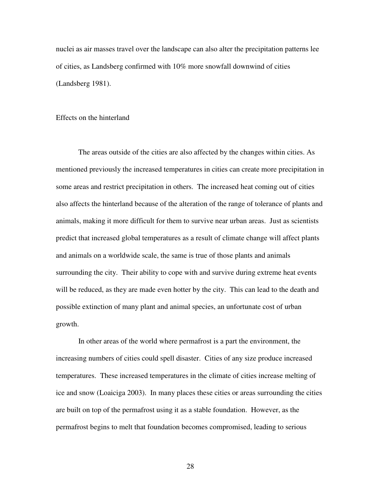nuclei as air masses travel over the landscape can also alter the precipitation patterns lee of cities, as Landsberg confirmed with 10% more snowfall downwind of cities (Landsberg 1981).

### Effects on the hinterland

 The areas outside of the cities are also affected by the changes within cities. As mentioned previously the increased temperatures in cities can create more precipitation in some areas and restrict precipitation in others. The increased heat coming out of cities also affects the hinterland because of the alteration of the range of tolerance of plants and animals, making it more difficult for them to survive near urban areas. Just as scientists predict that increased global temperatures as a result of climate change will affect plants and animals on a worldwide scale, the same is true of those plants and animals surrounding the city. Their ability to cope with and survive during extreme heat events will be reduced, as they are made even hotter by the city. This can lead to the death and possible extinction of many plant and animal species, an unfortunate cost of urban growth.

In other areas of the world where permafrost is a part the environment, the increasing numbers of cities could spell disaster. Cities of any size produce increased temperatures. These increased temperatures in the climate of cities increase melting of ice and snow (Loaiciga 2003). In many places these cities or areas surrounding the cities are built on top of the permafrost using it as a stable foundation. However, as the permafrost begins to melt that foundation becomes compromised, leading to serious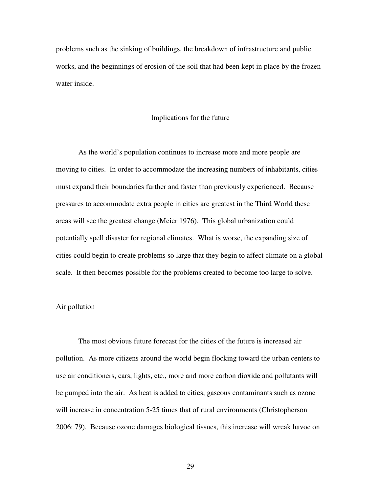problems such as the sinking of buildings, the breakdown of infrastructure and public works, and the beginnings of erosion of the soil that had been kept in place by the frozen water inside.

#### Implications for the future

 As the world's population continues to increase more and more people are moving to cities. In order to accommodate the increasing numbers of inhabitants, cities must expand their boundaries further and faster than previously experienced. Because pressures to accommodate extra people in cities are greatest in the Third World these areas will see the greatest change (Meier 1976). This global urbanization could potentially spell disaster for regional climates. What is worse, the expanding size of cities could begin to create problems so large that they begin to affect climate on a global scale. It then becomes possible for the problems created to become too large to solve.

## Air pollution

 The most obvious future forecast for the cities of the future is increased air pollution. As more citizens around the world begin flocking toward the urban centers to use air conditioners, cars, lights, etc., more and more carbon dioxide and pollutants will be pumped into the air. As heat is added to cities, gaseous contaminants such as ozone will increase in concentration 5-25 times that of rural environments (Christopherson 2006: 79). Because ozone damages biological tissues, this increase will wreak havoc on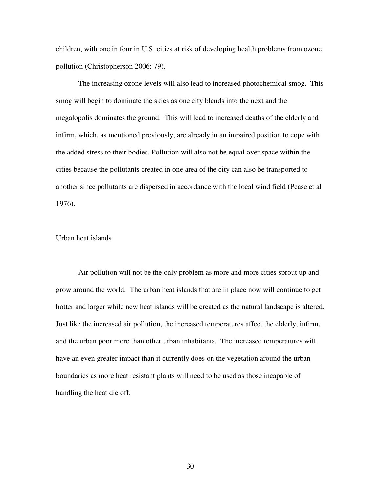children, with one in four in U.S. cities at risk of developing health problems from ozone pollution (Christopherson 2006: 79).

The increasing ozone levels will also lead to increased photochemical smog. This smog will begin to dominate the skies as one city blends into the next and the megalopolis dominates the ground. This will lead to increased deaths of the elderly and infirm, which, as mentioned previously, are already in an impaired position to cope with the added stress to their bodies. Pollution will also not be equal over space within the cities because the pollutants created in one area of the city can also be transported to another since pollutants are dispersed in accordance with the local wind field (Pease et al 1976).

# Urban heat islands

 Air pollution will not be the only problem as more and more cities sprout up and grow around the world. The urban heat islands that are in place now will continue to get hotter and larger while new heat islands will be created as the natural landscape is altered. Just like the increased air pollution, the increased temperatures affect the elderly, infirm, and the urban poor more than other urban inhabitants. The increased temperatures will have an even greater impact than it currently does on the vegetation around the urban boundaries as more heat resistant plants will need to be used as those incapable of handling the heat die off.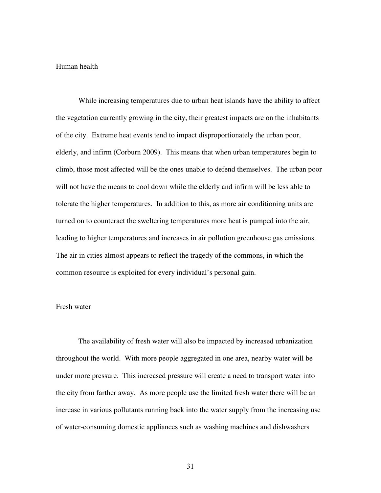### Human health

 While increasing temperatures due to urban heat islands have the ability to affect the vegetation currently growing in the city, their greatest impacts are on the inhabitants of the city. Extreme heat events tend to impact disproportionately the urban poor, elderly, and infirm (Corburn 2009). This means that when urban temperatures begin to climb, those most affected will be the ones unable to defend themselves. The urban poor will not have the means to cool down while the elderly and infirm will be less able to tolerate the higher temperatures. In addition to this, as more air conditioning units are turned on to counteract the sweltering temperatures more heat is pumped into the air, leading to higher temperatures and increases in air pollution greenhouse gas emissions. The air in cities almost appears to reflect the tragedy of the commons, in which the common resource is exploited for every individual's personal gain.

## Fresh water

The availability of fresh water will also be impacted by increased urbanization throughout the world. With more people aggregated in one area, nearby water will be under more pressure. This increased pressure will create a need to transport water into the city from farther away. As more people use the limited fresh water there will be an increase in various pollutants running back into the water supply from the increasing use of water-consuming domestic appliances such as washing machines and dishwashers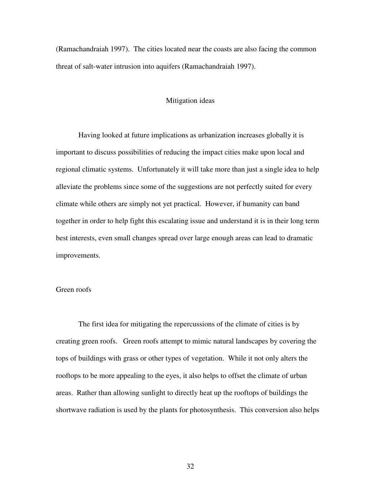(Ramachandraiah 1997). The cities located near the coasts are also facing the common threat of salt-water intrusion into aquifers (Ramachandraiah 1997).

# Mitigation ideas

 Having looked at future implications as urbanization increases globally it is important to discuss possibilities of reducing the impact cities make upon local and regional climatic systems. Unfortunately it will take more than just a single idea to help alleviate the problems since some of the suggestions are not perfectly suited for every climate while others are simply not yet practical. However, if humanity can band together in order to help fight this escalating issue and understand it is in their long term best interests, even small changes spread over large enough areas can lead to dramatic improvements.

# Green roofs

 The first idea for mitigating the repercussions of the climate of cities is by creating green roofs. Green roofs attempt to mimic natural landscapes by covering the tops of buildings with grass or other types of vegetation. While it not only alters the rooftops to be more appealing to the eyes, it also helps to offset the climate of urban areas. Rather than allowing sunlight to directly heat up the rooftops of buildings the shortwave radiation is used by the plants for photosynthesis. This conversion also helps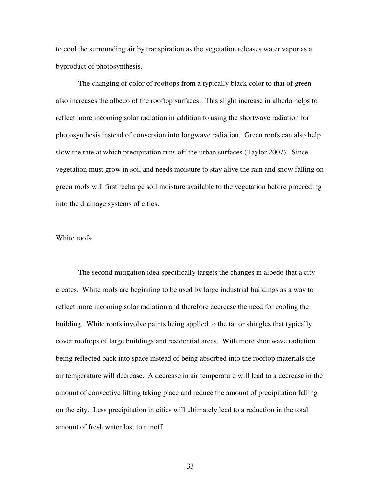to cool the surrounding air by transpiration as the vegetation releases water vapor as a byproduct of photosynthesis.

 The changing of color of rooftops from a typically black color to that of green also increases the albedo of the rooftop surfaces. This slight increase in albedo helps to reflect more incoming solar radiation in addition to using the shortwave radiation for photosynthesis instead of conversion into longwave radiation. Green roofs can also help slow the rate at which precipitation runs off the urban surfaces (Taylor 2007). Since vegetation must grow in soil and needs moisture to stay alive the rain and snow falling on green roofs will first recharge soil moisture available to the vegetation before proceeding into the drainage systems of cities.

# White roofs

 The second mitigation idea specifically targets the changes in albedo that a city creates. White roofs are beginning to be used by large industrial buildings as a way to reflect more incoming solar radiation and therefore decrease the need for cooling the building. White roofs involve paints being applied to the tar or shingles that typically cover rooftops of large buildings and residential areas. With more shortwave radiation being reflected back into space instead of being absorbed into the rooftop materials the air temperature will decrease. A decrease in air temperature will lead to a decrease in the amount of convective lifting taking place and reduce the amount of precipitation falling on the city. Less precipitation in cities will ultimately lead to a reduction in the total amount of fresh water lost to runoff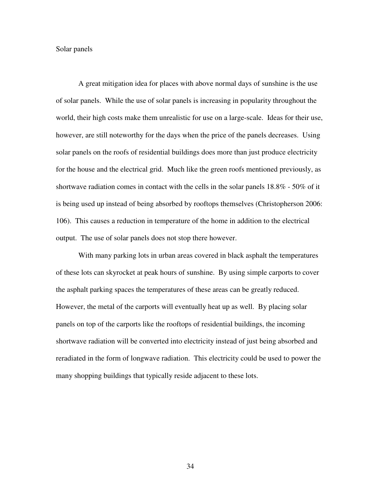Solar panels

 A great mitigation idea for places with above normal days of sunshine is the use of solar panels. While the use of solar panels is increasing in popularity throughout the world, their high costs make them unrealistic for use on a large-scale. Ideas for their use, however, are still noteworthy for the days when the price of the panels decreases. Using solar panels on the roofs of residential buildings does more than just produce electricity for the house and the electrical grid. Much like the green roofs mentioned previously, as shortwave radiation comes in contact with the cells in the solar panels 18.8% - 50% of it is being used up instead of being absorbed by rooftops themselves (Christopherson 2006: 106). This causes a reduction in temperature of the home in addition to the electrical output. The use of solar panels does not stop there however.

With many parking lots in urban areas covered in black asphalt the temperatures of these lots can skyrocket at peak hours of sunshine. By using simple carports to cover the asphalt parking spaces the temperatures of these areas can be greatly reduced. However, the metal of the carports will eventually heat up as well. By placing solar panels on top of the carports like the rooftops of residential buildings, the incoming shortwave radiation will be converted into electricity instead of just being absorbed and reradiated in the form of longwave radiation. This electricity could be used to power the many shopping buildings that typically reside adjacent to these lots.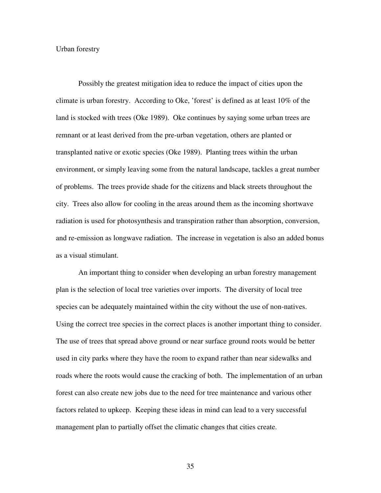### Urban forestry

Possibly the greatest mitigation idea to reduce the impact of cities upon the climate is urban forestry. According to Oke, 'forest' is defined as at least 10% of the land is stocked with trees (Oke 1989). Oke continues by saying some urban trees are remnant or at least derived from the pre-urban vegetation, others are planted or transplanted native or exotic species (Oke 1989). Planting trees within the urban environment, or simply leaving some from the natural landscape, tackles a great number of problems. The trees provide shade for the citizens and black streets throughout the city. Trees also allow for cooling in the areas around them as the incoming shortwave radiation is used for photosynthesis and transpiration rather than absorption, conversion, and re-emission as longwave radiation. The increase in vegetation is also an added bonus as a visual stimulant.

An important thing to consider when developing an urban forestry management plan is the selection of local tree varieties over imports. The diversity of local tree species can be adequately maintained within the city without the use of non-natives. Using the correct tree species in the correct places is another important thing to consider. The use of trees that spread above ground or near surface ground roots would be better used in city parks where they have the room to expand rather than near sidewalks and roads where the roots would cause the cracking of both. The implementation of an urban forest can also create new jobs due to the need for tree maintenance and various other factors related to upkeep. Keeping these ideas in mind can lead to a very successful management plan to partially offset the climatic changes that cities create.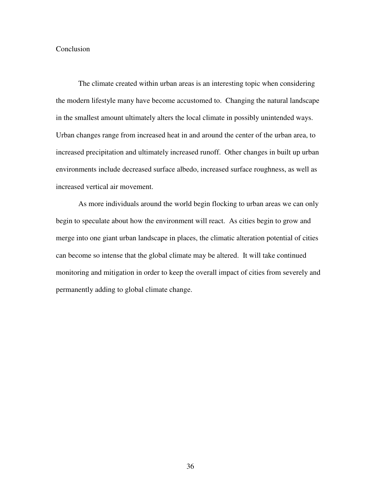# Conclusion

The climate created within urban areas is an interesting topic when considering the modern lifestyle many have become accustomed to. Changing the natural landscape in the smallest amount ultimately alters the local climate in possibly unintended ways. Urban changes range from increased heat in and around the center of the urban area, to increased precipitation and ultimately increased runoff. Other changes in built up urban environments include decreased surface albedo, increased surface roughness, as well as increased vertical air movement.

As more individuals around the world begin flocking to urban areas we can only begin to speculate about how the environment will react. As cities begin to grow and merge into one giant urban landscape in places, the climatic alteration potential of cities can become so intense that the global climate may be altered. It will take continued monitoring and mitigation in order to keep the overall impact of cities from severely and permanently adding to global climate change.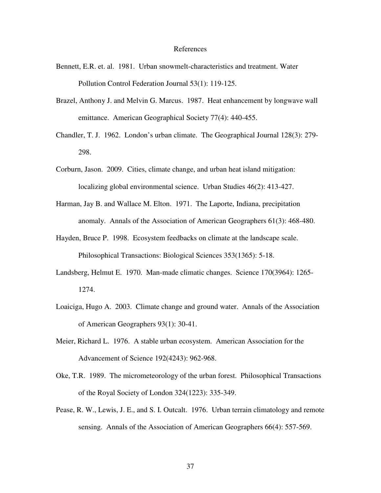#### References

- Bennett, E.R. et. al. 1981. Urban snowmelt-characteristics and treatment. Water Pollution Control Federation Journal 53(1): 119-125.
- Brazel, Anthony J. and Melvin G. Marcus. 1987. Heat enhancement by longwave wall emittance. American Geographical Society 77(4): 440-455.
- Chandler, T. J. 1962. London's urban climate. The Geographical Journal 128(3): 279- 298.
- Corburn, Jason. 2009. Cities, climate change, and urban heat island mitigation: localizing global environmental science. Urban Studies 46(2): 413-427.
- Harman, Jay B. and Wallace M. Elton. 1971. The Laporte, Indiana, precipitation anomaly. Annals of the Association of American Geographers 61(3): 468-480.
- Hayden, Bruce P. 1998. Ecosystem feedbacks on climate at the landscape scale. Philosophical Transactions: Biological Sciences 353(1365): 5-18.
- Landsberg, Helmut E. 1970. Man-made climatic changes. Science 170(3964): 1265- 1274.
- Loaiciga, Hugo A. 2003. Climate change and ground water. Annals of the Association of American Geographers 93(1): 30-41.
- Meier, Richard L. 1976. A stable urban ecosystem. American Association for the Advancement of Science 192(4243): 962-968.
- Oke, T.R. 1989. The micrometeorology of the urban forest. Philosophical Transactions of the Royal Society of London 324(1223): 335-349.
- Pease, R. W., Lewis, J. E., and S. I. Outcalt. 1976. Urban terrain climatology and remote sensing. Annals of the Association of American Geographers 66(4): 557-569.